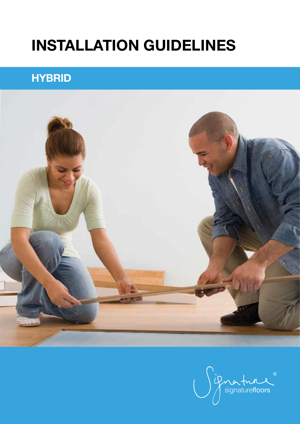# INSTALLATION GUIDELINES

# **HYBRID**



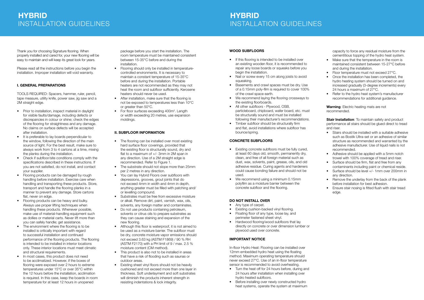Thank you for choosing Signature flooring. When properly installed and cared for, your new flooring will be easy to maintain and will keep its great look for years.

Please read all the instructions before you begin the installation. Improper installation will void warranty.

### I. GENERAL PREPARATIONS

TOOLS REQUIRED: Spacers, hammer, ruler, pencil, tape measure, utility knife, power saw, jig saw and a 2M straight edge.

- Prior to installation, inspect material in daylight for visible faults/damage, including defects or discrepancies in colour or shine; check the edges of the flooring for straightness and any damage. No claims on surface defects will be accepted after installation.
- It is preferable to lay boards perpendicular to the window, following the direction of the main source of light. For the best result, make sure to always work from 3 to 4 cartons at a time, mixing the planks during the installation.
- Check if subfloor/site conditions comply with the specifications described in these instructions. If you are not satisfied, do not install, and contact your supplier.
- Flooring products can be damaged by rough handling before installation. Exercise care when handling and transporting these products. Store, transport and handle the flooring planks in a manner to prevent any damage. Store cartons flat, never on edge.
- Flooring products can be heavy and bulky. Always use proper lifting techniques when handling these products. Whenever possible, make use of material-handling equipment such as dollies or material carts. Never lift more than you can safely handle; get assistance.
- The environment where the flooring is to be installed is critically important with regard to successful installation and continued performance of the flooring products. The flooring is intended to be installed in interior locations only. These interior locations must meet climatic and structural requirements.
- In most cases, this product does not need to be acclimatized. However, if the boxes of flooring were exposed over 2 hours to extreme temperatures under 15°C or over 35°C within the 12 hours before the installation, acclimation is required. In this case, keep the boards in room temperature for at least 12 hours in unopened
- The flooring can be installed over most existing hard surface floor coverings, provided that the existing floor is structurally sound, dry and flat to a maximum of +/- 3mm in 2M span in any direction. Use of a 2M straight edge is recommended. Refer to Figure 1.
- The substrate should not slope more than 25mm per 2 metres in any direction.
- You can lay Hybrid Floors over subfloors with depressions, grooves, grout joints that do not exceed 4mm in width and 4mm in depth, anything greater must be filled with patching and/ or levelling compound.
- Substrates must be free from excessive moisture or alkali. Remove dirt, paint, varnish, wax, oils, solvents, any foreign matter and contaminates.
- Do not use products containing petroleum, solvents or citrus oils to prepare substrates as they can cause staining and expansion of the new flooring.
- Although this floor is waterproof, it is not aimed to be used as a moisture barrier. The subfloor must be dry, concrete moisture vapor emissions should not exceed 3.63 kg (ASTM F1869) / 90 % RH (ASTM F2170) with a PH limit of 9 / max. 2.5 % moisture content (CM method).
- This product is also not to be installed in areas that have a risk of flooding such as saunas or outdoor areas.
- Existing sheet vinyl floors should not be heavily cushioned and not exceed more than one layer in thickness. Soft underlayment and soft substrates will diminish the products inherent strength in resisting indentations & lock integrity.

### **HYBRID** INSTALLATION GUIDELINES

package before you start the installation. The room temperature must be maintained consistent between 15-35°C before and during the installation.

- Flooring should only be installed in temperaturecontrolled environments. It is necessary to maintain a constant temperature of 15-35°C before and during the installation. Portable heaters are not recommended as they may not heat the room and subfloor sufficiently. Kerosene heaters should never be used.
- After installation, make sure that the flooring is not be exposed to temperatures less than 10°C or greater than 50°C.
- For floor surfaces exceeding 400m<sup>2</sup>. Length or width exceeding 20 metres, use expansion moldings.

### II. SUBFLOOR INFORMATION

- Any type of carpet.
- Existing cushion-backed vinyl flooring.
- Floating floor of any type, loose lay, and perimeter fastened sheet vinyl.
- Hardwood flooring/wood subfloors that lay directly on concrete or over dimension lumber or plywood used over concrete.

Warning: Electric heating mats are not recommended.

**Stair Installation:** To maintain safety and product performance all stairs should be glued direct to tread and riser.

### **HYBRID** INSTALLATION GUIDELINES

### WOOD SUBFLOORS

- If this flooring is intended to be installed over an existing wooden floor, it is recommended to repair any loose boards or squeaks before you begin the installation.
- Nail or screw every 15 cm along joists to avoid squeaking.
- Basements and crawl spaces must be dry. Use of a 0.15mm poly-film is required to cover 100% of the crawl space earth.
- We recommend laying the flooring crossways to the existing floorboards.
- All other subfloors Plywood, OSB, particleboard, chipboard, wafer board, etc. must be structurally sound and must be installed following their manufacturer's recommendations.
- Timber subfloor should be structurally firm and flat, avoid installations where subfloor has bounce/spring.

### CONCRETE SUBFLOORS

- Existing concrete subfloors must be fully cured, at least 60 days old, smooth, permanently dry, clean, and free of all foreign material such as dust, wax, solvents, paint, grease, oils, and old adhesive residue. Curing agents and hardeners could cause bonding failure and should not be used.
- We recommend using a minimum 0.15mm polyfilm as a moisture barrier between the concrete subfloor and the flooring.

### DO NOT INSTALL OVER

### IMPORTANT NOTICE

In-floor Hydro Heat: Flooring can be installed over 12mm embedded hydro heat using the floating method. Maximum operating temperature should never exceed 27°C. Use of an in-floor temperature sensor is recommended to avoid overheating.

- Turn the heat off for 24 hours before, during and 24 hours after installation when installing over hydro heated subfloors.
- Before installing over newly constructed hydro heat systems, operate the system at maximum

capacity to force any residual moisture from the cementitious topping of the hydro heat system.

- Make sure that the temperature in the room is maintained consistent between 15-27°C before and during the installation.
- Floor temperature must not exceed 27°C.
- Once the installation has been completed, the hydro heating system should be turned on and increased gradually (3-degree increments) every 24 hours a maximum of 27°C.
- Refer to the hydro heat system's manufacturer recommendations for additional guidance.

- Stairs should be installed with a suitable adhesive such as Bostik Ultra-set or an adhesive of similar structure as recommended and warranted by the adhesive manufacturer. Use of liquid nails is not recommended.
- Adhesive should be applied with a 5mm notch trowel with 100% coverage of tread and riser.
- Surface should be firm, flat and free from any contaminants including paint or chemical reside.
- Surface should be level +/- 1mm over 200mm in any direction.
- Remove the underlay from the back of the plank before installation for best adhesion.
- Ensure stair nosing is fitted flush with stair tread edge.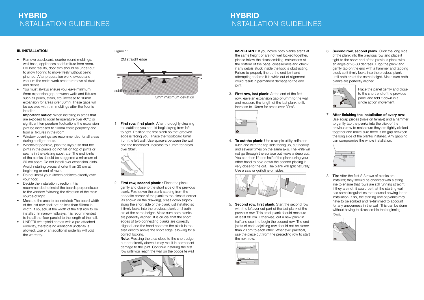#### Figure 1:

1. First row, first plank: After thoroughly cleaning the subfloor, you should begin laying from left to right. Position the first plank so that grooved edge is facing you. Place the floorboard 6mm from the left wall. Use spacers between the wall and the floorboard. Increase to 10mm for areas over 30m<sup>2</sup>.





3mm maximum deviation

2. First row, second plank: : Place the plank gently and close to the short side of the previous plank. Fold down the plank starting from the opposite corner of the plank to the closest corner (as shown on the drawing), press down slightly along the short side of the plank just installed so it firmly locks into the previous plank until both are at the same height. Make sure both planks are perfectly aligned. It is crucial that the short edges of two connecting planks are correctly aligned, and the hand contacts the plank in the area directly above the short edge, allowing for a correct locking.

Note: Pressing the area close to the short edge, but not directly above it may result in permanent damage to the joint. Continue installing the first row until you reach the wall on the opposite wall



3. First row, last plank: At the end of the first row, leave an expansion gap of 6mm to the wall and measure the length of the last plank to fit. Increase to 10mm for areas over 30m<sup>2</sup>.



4. **To cut the plank**: Use a simple utility knife and ruler, and with the top side facing up, cut heavily and several times on the same axis. The knife will not go through the surface but make a deep cut. You can then lift one half of the plank using your other hand to hold down the second placing it very close to the cut. The plank will split naturally. Use a saw or guillotine on sides.



### **HYBRID** INSTALLATION GUIDELINES

IMPORTANT: If you notice both planks aren't at the same height or are not well locked together, please follow the disassembling instructions at the bottom of the page, disassemble and check if any debris stuck inside the lock is obstructing. Failure to properly line up the end joint and attempting to force it in while out of alignment could result in permanent damage to the end joint.

## **HYBRID** INSTALLATION GUIDELINES

- Remove baseboard, quarter-round moldings, wall base, appliances and furniture from room. For best results, door trim should be under-cut to allow flooring to move freely without being pinched. After preparation work, sweep and vacuum the entire work area to remove all dust and debris.
- You must always ensure you leave minimum 6mm expansion gap between walls and fixtures such as pillars, stairs, etc (increase to 10mm expansion for areas over 30m<sup>2</sup>). These gaps will be covered with trim moldings after the floor is installed.

Important notice: When installing in areas that are exposed to room temperature over 40°C or significant temperature fluctuations the expansion joint be increased to 10mm entire periphery and from all fixtures in the room.

> 5. Second row, first plank: Start the second row with the leftover cut part of the last plank of the previous row. This small plank should measure at least 30 cm. Otherwise, cut a new plank in half and use it to begin the second row. The end joints of each adjoining row should not be closer than 20 cm to each other. Whenever practical, use the piece cut from the preceding row to start the next row.



6. Second row, second plank: Click the long side of the plank into the previous row and place it tight to the short end of the previous plank with an angle of 25-30 degrees. Drop the plank and gently tap on the end with a hammer and tapping block so it firmly locks into the previous plank until both are at the same height. Make sure both planks are perfectly aligned.



7. After finishing the installation of every row: Use scrap pieces (male on female) and a hammer to gently tap the planks into the click of the previous row to make sure they are tightly clicked together and make sure there is no gap between the long side of the planks installed. Any gapping can compromise the whole installation.



8. Tip: After the first 2-3 rows of planks are installed; they should be checked with a string line to ensure that rows are still running straight. If they are not, it could be that the starting wall has some irregularities that caused bowing in the installation. If so, the starting row of planks may have to be scribed and re-trimmed to account for any unevenness in the wall. This can be done without having to disassemble the beginning rows.



#### III. INSTALLATION

- Window coverings are recommended for all areas during sunlight hours.
- Whenever possible, plan the layout so that the joints in the planks do not fall on top of joints or seams in the existing substrate. The end joints of the planks should be staggered a minimum of 20 cm apart. Do not install over expansion joints. Avoid installing pieces shorter than 30 cm at beginning or end of rows.
- Do not install your kitchen cabinets directly over your floor.
- Decide the installation direction. It is recommended to install the boards perpendicular to the window following the direction of the main source of light.
- Measure the area to be installed: The board width of the last row shall not be less than 50mm in width. If so, adjust the width of the first row to be installed. In narrow hallways, it is recommended to install the floor parallel to the length of the hall.
- UNDERLAY: Hybrid comes with a pre-attached underlay, therefore no additional underlay is allowed. Use of an additional underlay will void the warranty.

Place the panel gently and close to the short end of the previous panel and fold it down in a single action movement.